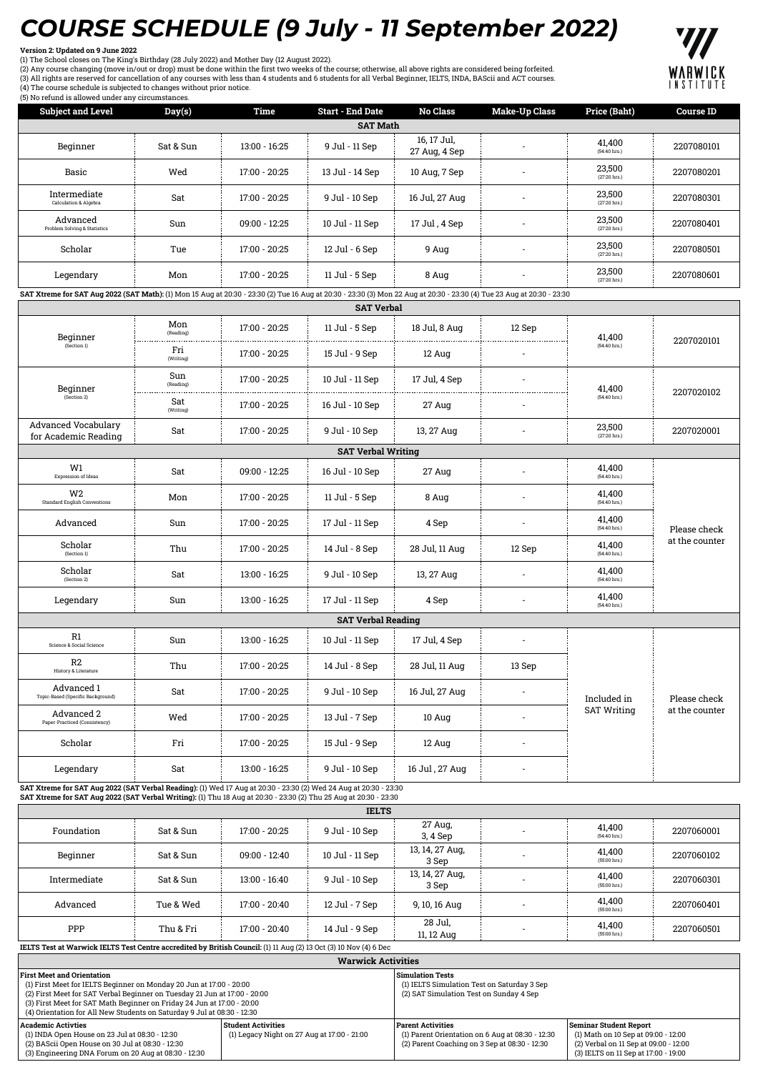## *COURSE SCHEDULE (9 July - 11 September 2022)*

## **Version 2: Updated on 9 June 2022**

(1) The School closes on The King's Birthday (28 July 2022) and Mother Day (12 August 2022).<br>(2) Any course changing (move in/out or drop) must be done within the first two weeks of the course; otherwise, all above rights





| (5) No ferding is allowed under any circumstances.<br><b>Subject and Level</b>                                                                                                                                                         | Day(s)           | Time          | <b>Start - End Date</b>   | No Class                     | <b>Make-Up Class</b>     | Price (Baht)                      | <b>Course ID</b> |
|----------------------------------------------------------------------------------------------------------------------------------------------------------------------------------------------------------------------------------------|------------------|---------------|---------------------------|------------------------------|--------------------------|-----------------------------------|------------------|
|                                                                                                                                                                                                                                        |                  |               | <b>SAT Math</b>           |                              |                          |                                   |                  |
| Beginner                                                                                                                                                                                                                               | Sat & Sun        | 13:00 - 16:25 | 9 Jul - 11 Sep            | 16, 17 Jul,<br>27 Aug, 4 Sep |                          | 41,400<br>(54:40 hrs.)            | 2207080101       |
| Basic                                                                                                                                                                                                                                  | Wed              | 17:00 - 20:25 | 13 Jul - 14 Sep           | 10 Aug, 7 Sep                |                          | 23,500<br>(27:20 hrs.)            | 2207080201       |
| Intermediate<br>Calculation & Algebra                                                                                                                                                                                                  | Sat              | 17:00 - 20:25 | 9 Jul - 10 Sep            | 16 Jul, 27 Aug               |                          | 23,500<br>(27:20 hrs.)            | 2207080301       |
| Advanced<br>Problem Solving & Statistics                                                                                                                                                                                               | Sun              | 09:00 - 12:25 | 10 Jul - 11 Sep           | 17 Jul, 4 Sep                | $\overline{\phantom{a}}$ | 23,500<br>(27:20 hrs.)            | 2207080401       |
| Scholar                                                                                                                                                                                                                                | Tue              | 17:00 - 20:25 | 12 Jul - 6 Sep            | 9 Aug                        |                          | 23,500<br>(27:20 hrs.)            | 2207080501       |
| Legendary                                                                                                                                                                                                                              | Mon              | 17:00 - 20:25 | 11 Jul - 5 Sep            | 8 Aug                        |                          | 23,500<br>(27:20 hrs.)            | 2207080601       |
| SAT Xtreme for SAT Aug 2022 (SAT Math): (1) Mon 15 Aug at 20:30 - 23:30 (2) Tue 16 Aug at 20:30 - 23:30 (3) Mon 22 Aug at 20:30 - 23:30 (4) Tue 23 Aug at 20:30 - 23:30                                                                |                  |               |                           |                              |                          |                                   |                  |
|                                                                                                                                                                                                                                        |                  |               | <b>SAT Verbal</b>         |                              |                          |                                   |                  |
| Beginner                                                                                                                                                                                                                               | Mon<br>(Reading) | 17:00 - 20:25 | 11 Jul - 5 Sep            | 18 Jul, 8 Aug                | 12 Sep                   | 41,400                            | 2207020101       |
| (Section 1)                                                                                                                                                                                                                            | Fri<br>(Writing) | 17:00 - 20:25 | 15 Jul - 9 Sep            | 12 Aug                       |                          | (54:40 hrs.)                      |                  |
| Beginner                                                                                                                                                                                                                               | Sun<br>(Reading) | 17:00 - 20:25 | 10 Jul - 11 Sep           | 17 Jul, 4 Sep                |                          | 41.400                            | 2207020102       |
| (Section 2)                                                                                                                                                                                                                            | Sat<br>(Writing) | 17:00 - 20:25 | 16 Jul - 10 Sep           | 27 Aug                       |                          | (54:40 hrs.)                      |                  |
| <b>Advanced Vocabulary</b><br>for Academic Reading                                                                                                                                                                                     | Sat              | 17:00 - 20:25 | 9 Jul - 10 Sep            | 13, 27 Aug                   |                          | 23,500<br>(27:20 hrs.)            | 2207020001       |
|                                                                                                                                                                                                                                        |                  |               | <b>SAT Verbal Writing</b> |                              |                          |                                   |                  |
| W1<br>Expression of Ideas                                                                                                                                                                                                              | Sat              | 09:00 - 12:25 | 16 Jul - 10 Sep           | 27 Aug                       |                          | 41,400<br>(54:40 hrs.)            | Please check     |
| W <sub>2</sub><br><b>Standard English Conventions</b>                                                                                                                                                                                  | Mon              | 17:00 - 20:25 | 11 Jul - 5 Sep            | 8 Aug                        |                          | 41,400<br>(54:40 hrs.)            |                  |
| Advanced                                                                                                                                                                                                                               | Sun              | 17:00 - 20:25 | 17 Jul - 11 Sep           | 4 Sep                        |                          | 41,400<br>(54:40 hrs.)            |                  |
| Scholar<br>(Section 1)                                                                                                                                                                                                                 | Thu              | 17:00 - 20:25 | 14 Jul - 8 Sep            | 28 Jul, 11 Aug               | 12 Sep                   | 41,400<br>(54:40 hrs.)            | at the counter   |
| Scholar<br>(Section 2)                                                                                                                                                                                                                 | Sat              | 13:00 - 16:25 | 9 Jul - 10 Sep            | 13, 27 Aug                   | $\overline{\phantom{a}}$ | 41,400<br>(54:40 hrs.)            |                  |
| Legendary                                                                                                                                                                                                                              | Sun              | 13:00 - 16:25 | 17 Jul - 11 Sep           | 4 Sep                        |                          | 41,400<br>$(54:40 \text{ hrs.})$  |                  |
|                                                                                                                                                                                                                                        |                  |               | <b>SAT Verbal Reading</b> |                              |                          |                                   |                  |
| R1<br>Science & Social Science                                                                                                                                                                                                         | Sun              | 13:00 - 16:25 | 10 Jul - 11 Sep           | 17 Jul, 4 Sep                |                          |                                   |                  |
| R2<br><b>History &amp; Literature</b>                                                                                                                                                                                                  | Thu              | 17:00 - 20:25 | 14 Jul - 8 Sep            | 28 Jul, 11 Aug               | $13\;\mathrm{Sep}$       |                                   |                  |
| Advanced 1<br>Topic-Based (Specific Background)                                                                                                                                                                                        | Sat              | 17:00 - 20:25 | 9 Jul - 10 Sep            | 16 Jul, 27 Aug               |                          | Included in<br><b>SAT Writing</b> | Please check     |
| Advanced 2<br>Paper-Practiced (Consistency)                                                                                                                                                                                            | Wed              | 17:00 - 20:25 | 13 Jul - 7 Sep            | 10 Aug                       |                          |                                   | at the counter   |
| Scholar                                                                                                                                                                                                                                | Fri              | 17:00 - 20:25 | 15 Jul - 9 Sep            | 12 Aug                       |                          |                                   |                  |
| Legendary                                                                                                                                                                                                                              | Sat              | 13:00 - 16:25 | 9 Jul - 10 Sep            | 16 Jul, 27 Aug               |                          |                                   |                  |
| SAT Xtreme for SAT Aug 2022 (SAT Verbal Reading): (1) Wed 17 Aug at 20:30 - 23:30 (2) Wed 24 Aug at 20:30 - 23:30<br>SAT Xtreme for SAT Aug 2022 (SAT Verbal Writing): (1) Thu 18 Aug at 20:30 - 23:30 (2) Thu 25 Aug at 20:30 - 23:30 |                  |               |                           |                              |                          |                                   |                  |
|                                                                                                                                                                                                                                        |                  |               | <b>IELTS</b>              |                              |                          |                                   |                  |
| Foundation                                                                                                                                                                                                                             | Sat & Sun        | 17:00 - 20:25 | 9 Jul - 10 Sep            | 27 Aug,<br>3, 4 Sep          |                          | 41,400<br>(54:40 hrs.)            | 2207060001       |

| Beginner                                                                                                          | Sat & Sun | $09:00 - 12:40$ | 10 Jul - 11 Sep | 13, 14, 27 Aug.<br>3 Sep |  | 41,400<br>$(55:00$ hrs.)         | 2207060102 |
|-------------------------------------------------------------------------------------------------------------------|-----------|-----------------|-----------------|--------------------------|--|----------------------------------|------------|
| Intermediate                                                                                                      | Sat & Sun | $13:00 - 16:40$ | 9 Jul - 10 Sep  | 13, 14, 27 Aug.<br>3 Sep |  | 41,400<br>$(55:00$ hrs.)         | 2207060301 |
| Advanced                                                                                                          | Tue & Wed | $17:00 - 20:40$ | 12 Jul - 7 Sep  | 9, 10, 16 Aug            |  | 41.400<br>$(55:00$ hrs.)         | 2207060401 |
| PPP                                                                                                               | Thu & Fri | $17:00 - 20:40$ | 14 Jul - 9 Sep  | 28 Jul,<br>11, 12 Aug    |  | 41,400<br>$(55:00 \text{ hrs.})$ | 2207060501 |
| IELTS Test at Warwick IELTS Test Centre accredited by British Council: (1) 11 Aug (2) 13 Oct (3) 10 Nov (4) 6 Dec |           |                 |                 |                          |  |                                  |            |

| <b>Warwick Activities</b>                                                                                                                                                                                                                                    |  |                                                                                                                               |                                                                                                                                                |  |  |  |  |  |
|--------------------------------------------------------------------------------------------------------------------------------------------------------------------------------------------------------------------------------------------------------------|--|-------------------------------------------------------------------------------------------------------------------------------|------------------------------------------------------------------------------------------------------------------------------------------------|--|--|--|--|--|
| <b>First Meet and Orientation</b><br>(1) First Meet for IELTS Beginner on Monday 20 Jun at 17:00 - 20:00                                                                                                                                                     |  | <b>Simulation Tests</b><br>(1) IELTS Simulation Test on Saturday 3 Sep                                                        |                                                                                                                                                |  |  |  |  |  |
| (2) First Meet for SAT Verbal Beginner on Tuesday 21 Jun at 17:00 - 20:00<br>(3) First Meet for SAT Math Beginner on Friday 24 Jun at 17:00 - 20:00<br>(4) Orientation for All New Students on Saturday 9 Jul at 08:30 - 12:30                               |  | (2) SAT Simulation Test on Sunday 4 Sep                                                                                       |                                                                                                                                                |  |  |  |  |  |
| Student Activities<br><b>Academic Activties</b><br>(1) Legacy Night on 27 Aug at 17:00 - 21:00<br>(1) INDA Open House on 23 Jul at 08:30 - 12:30<br>(2) BAScii Open House on 30 Jul at 08:30 - 12:30<br>(3) Engineering DNA Forum on 20 Aug at 08:30 - 12:30 |  | <b>Parent Activities</b><br>(1) Parent Orientation on 6 Aug at 08:30 - 12:30<br>(2) Parent Coaching on 3 Sep at 08:30 - 12:30 | Seminar Student Report<br>(1) Math on 10 Sep at 09:00 - 12:00<br>(2) Verbal on 11 Sep at 09:00 - 12:00<br>(3) IELTS on 11 Sep at 17:00 - 19:00 |  |  |  |  |  |